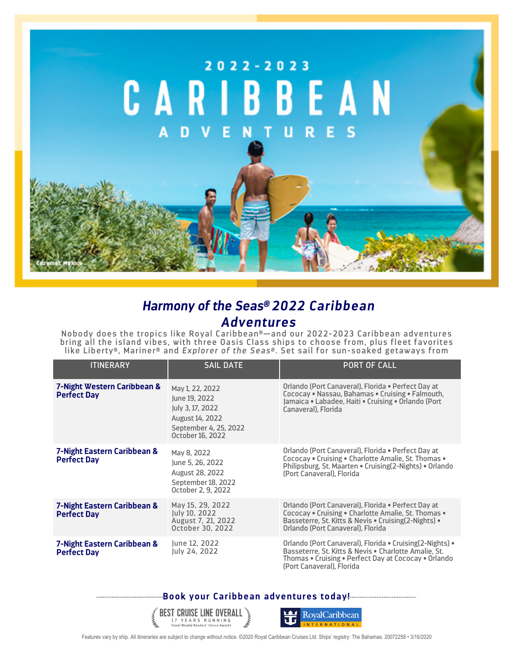

## *Harmony of the Seas® 2022 Caribbean Adventures*

Nobody does the tropics like Royal Caribbean®—and our 2022-2023 Caribbean adventures bring all the island vibes, with three Oasis Class ships to choose from, plus fleet favorites like Liberty®, Mariner® and *Explorer of the Seas®.* Set sail for sun-soaked getaways from

| <b>ITINERARY</b>                                  | <b>SAIL DATE</b>                                                                                                            | <b>PORT OF CALL</b>                                                                                                                                                                                     |
|---------------------------------------------------|-----------------------------------------------------------------------------------------------------------------------------|---------------------------------------------------------------------------------------------------------------------------------------------------------------------------------------------------------|
| 7-Night Western Caribbean &<br><b>Perfect Day</b> | May 1, 22, 2022<br>June 19, 2022<br>July 3, 17, 2022<br><b>August 14, 2022</b><br>September 4, 25, 2022<br>October 16, 2022 | Orlando (Port Canaveral), Florida • Perfect Day at<br>Cococay • Nassau, Bahamas • Cruising • Falmouth,<br>Jamaica • Labadee, Haiti • Cruising • Orlando (Port<br>Canaveral), Florida                    |
| 7-Night Eastern Caribbean &<br><b>Perfect Day</b> | May 8, 2022<br>June 5, 26, 2022<br><b>August 28, 2022</b><br>September 18, 2022<br>October 2, 9, 2022                       | Orlando (Port Canaveral), Florida • Perfect Day at<br>Cococay • Cruising • Charlotte Amalie, St. Thomas •<br>Philipsburg, St. Maarten • Cruising (2-Nights) • Orlando<br>(Port Canaveral), Florida      |
| 7-Night Eastern Caribbean &<br><b>Perfect Day</b> | May 15, 29, 2022<br>July 10, 2022<br>August 7, 21, 2022<br>October 30, 2022                                                 | Orlando (Port Canaveral), Florida • Perfect Day at<br>Cococay • Cruising • Charlotte Amalie, St. Thomas •<br>Basseterre, St. Kitts & Nevis • Cruising (2-Nights) •<br>Orlando (Port Canaveral), Florida |
| 7-Night Eastern Caribbean &<br><b>Perfect Day</b> | June 12, 2022<br>July 24, 2022                                                                                              | Orlando (Port Canaveral), Florida • Cruising(2-Nights) •<br>Basseterre, St. Kitts & Nevis . Charlotte Amalie, St.<br>Thomas • Cruising • Perfect Day at Cococay • Orlando<br>(Port Canaveral), Florida  |

## **Book your Caribbean adventures today!**





Features vary by ship. All itineraries are subject to change without notice. ©2020 Royal Caribbean Cruises Ltd. Ships' registry: The Bahamas. 20072258 • 3/16/2020